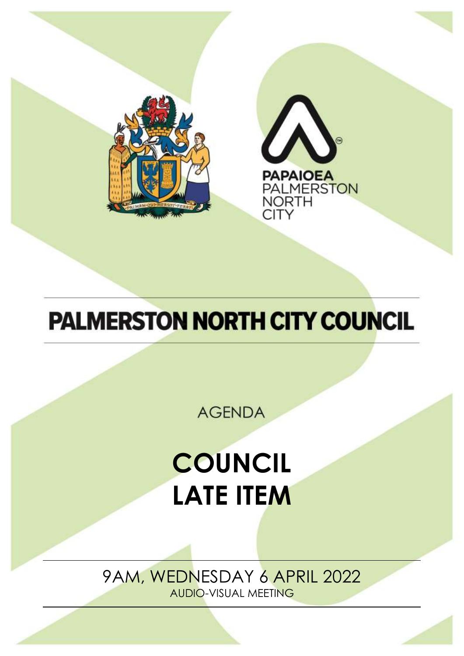



# **PALMERSTON NORTH CITY COUNCIL**

**AGENDA** 

# **COUNCIL LATE ITEM**

9AM, WEDNESDAY 6 APRIL 2022 AUDIO-VISUAL MEETING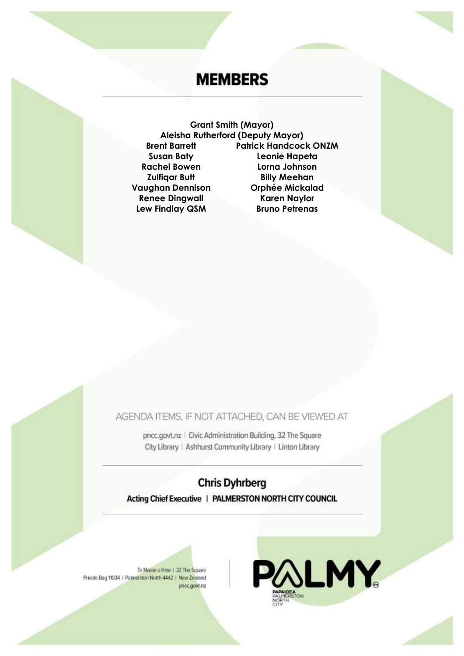# **MEMBERS**

**Grant Smith (Mayor) Aleisha Rutherford (Deputy Mayor) Patrick Handcock ONZM Brent Barrett Susan Baty** Leonie Hapeta **Rachel Bowen** Lorna Johnson **Zulfiqar Butt Billy Meehan Vaughan Dennison Orphée Mickalad Renee Dingwall Karen Naylor Lew Findlay QSM Bruno Petrenas** 

AGENDA ITEMS, IF NOT ATTACHED, CAN BE VIEWED AT

pncc.govt.nz | Civic Administration Building, 32 The Square City Library | Ashhurst Community Library | Linton Library

### **Chris Dyhrberg** Acting Chief Executive | PALMERSTON NORTH CITY COUNCIL

Te Marae o Hine 1 32 The Square Private Bag 11034 | Palmerston North 4442 | New Zealand pncc.govt.nz

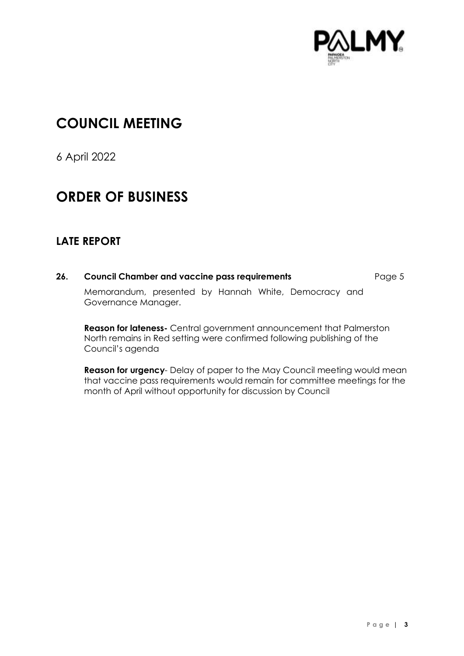

## **COUNCIL MEETING**

6 April 2022

## **ORDER OF BUSINESS**

### **LATE REPORT**

**26. Council Chamber and vaccine pass requirements** Page [5](#page-4-0) Memorandum, presented by Hannah White, Democracy and Governance Manager.

**Reason for lateness-** Central government announcement that Palmerston North remains in Red setting were confirmed following publishing of the Council's agenda

**Reason for urgency**- Delay of paper to the May Council meeting would mean that vaccine pass requirements would remain for committee meetings for the month of April without opportunity for discussion by Council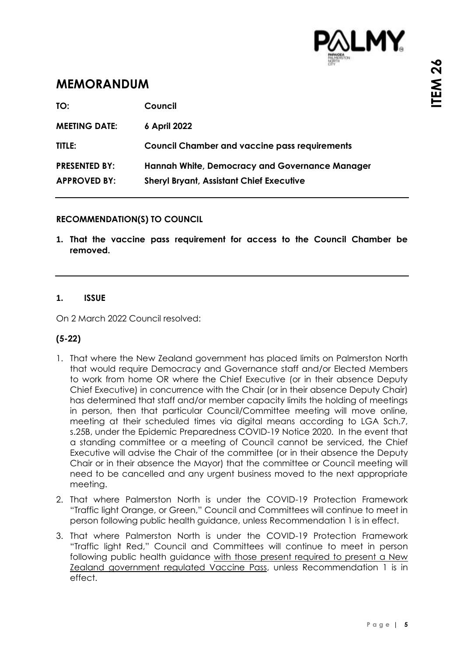

## <span id="page-4-0"></span>**MEMORANDUM**

| TO:                  | Council                                              |
|----------------------|------------------------------------------------------|
| <b>MEETING DATE:</b> | 6 April 2022                                         |
| TITLE:               | <b>Council Chamber and vaccine pass requirements</b> |
| <b>PRESENTED BY:</b> | Hannah White, Democracy and Governance Manager       |
| <b>APPROVED BY:</b>  | <b>Sheryl Bryant, Assistant Chief Executive</b>      |

#### **RECOMMENDATION(S) TO COUNCIL**

**1. That the vaccine pass requirement for access to the Council Chamber be removed.**

#### **1. ISSUE**

On 2 March 2022 Council resolved:

#### **(5-22)**

- 1. That where the New Zealand government has placed limits on Palmerston North that would require Democracy and Governance staff and/or Elected Members to work from home OR where the Chief Executive (or in their absence Deputy Chief Executive) in concurrence with the Chair (or in their absence Deputy Chair) has determined that staff and/or member capacity limits the holding of meetings in person, then that particular Council/Committee meeting will move online, meeting at their scheduled times via digital means according to LGA Sch.7, s.25B, under the Epidemic Preparedness COVID-19 Notice 2020. In the event that a standing committee or a meeting of Council cannot be serviced, the Chief Executive will advise the Chair of the committee (or in their absence the Deputy Chair or in their absence the Mayor) that the committee or Council meeting will need to be cancelled and any urgent business moved to the next appropriate meeting.
- 2. That where Palmerston North is under the COVID-19 Protection Framework "Traffic light Orange, or Green," Council and Committees will continue to meet in person following public health guidance, unless Recommendation 1 is in effect.
- 3. That where Palmerston North is under the COVID-19 Protection Framework "Traffic light Red," Council and Committees will continue to meet in person following public health guidance with those present required to present a New Zealand government regulated Vaccine Pass, unless Recommendation 1 is in effect.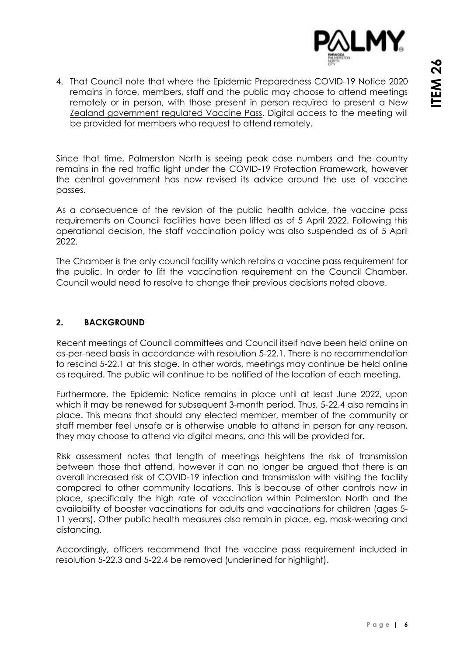

4. That Council note that where the Epidemic Preparedness COVID-19 Notice 2020 remains in force, members, staff and the public may choose to attend meetings remotely or in person, with those present in person required to present a New Zealand government regulated Vaccine Pass. Digital access to the meeting will be provided for members who request to attend remotely.

Since that time, Palmerston North is seeing peak case numbers and the country remains in the red traffic light under the COVID-19 Protection Framework, however the central government has now revised its advice around the use of vaccine passes.

As a consequence of the revision of the public health advice, the vaccine pass requirements on Council facilities have been lifted as of 5 April 2022. Following this operational decision, the staff vaccination policy was also suspended as of 5 April 2022.

The Chamber is the only council facility which retains a vaccine pass requirement for the public. In order to lift the vaccination requirement on the Council Chamber, Council would need to resolve to change their previous decisions noted above.

#### **2. BACKGROUND**

Recent meetings of Council committees and Council itself have been held online on as-per-need basis in accordance with resolution 5-22.1. There is no recommendation to rescind 5-22.1 at this stage. In other words, meetings may continue be held online as required. The public will continue to be notified of the location of each meeting.

Furthermore, the Epidemic Notice remains in place until at least June 2022, upon which it may be renewed for subsequent 3-month period. Thus, 5-22.4 also remains in place. This means that should any elected member, member of the community or staff member feel unsafe or is otherwise unable to attend in person for any reason, they may choose to attend via digital means, and this will be provided for.

Risk assessment notes that length of meetings heightens the risk of transmission between those that attend, however it can no longer be argued that there is an overall increased risk of COVID-19 infection and transmission with visiting the facility compared to other community locations. This is because of other controls now in place, specifically the high rate of vaccination within Palmerston North and the availability of booster vaccinations for adults and vaccinations for children (ages 5- 11 years). Other public health measures also remain in place, eg. mask-wearing and distancing.

Accordingly, officers recommend that the vaccine pass requirement included in resolution 5-22.3 and 5-22.4 be removed (underlined for highlight).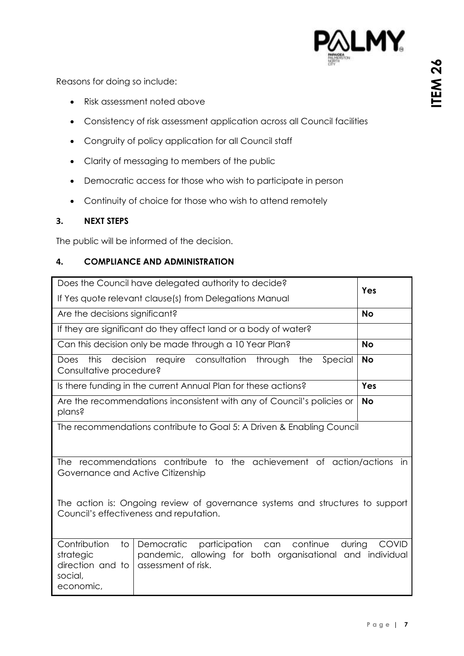

Reasons for doing so include:

- Risk assessment noted above
- Consistency of risk assessment application across all Council facilities
- Congruity of policy application for all Council staff
- Clarity of messaging to members of the public
- Democratic access for those who wish to participate in person
- Continuity of choice for those who wish to attend remotely

#### **3. NEXT STEPS**

The public will be informed of the decision.

#### **4. COMPLIANCE AND ADMINISTRATION**

|                                                                                         | Does the Council have delegated authority to decide?                                                                                                                                               |              |
|-----------------------------------------------------------------------------------------|----------------------------------------------------------------------------------------------------------------------------------------------------------------------------------------------------|--------------|
|                                                                                         | If Yes quote relevant clause(s) from Delegations Manual                                                                                                                                            | Yes          |
| Are the decisions significant?                                                          |                                                                                                                                                                                                    | <b>No</b>    |
|                                                                                         | If they are significant do they affect land or a body of water?                                                                                                                                    |              |
| Can this decision only be made through a 10 Year Plan?                                  | <b>No</b>                                                                                                                                                                                          |              |
| this<br>Does<br>Consultative procedure?                                                 | decision require consultation through<br>Special<br>the                                                                                                                                            | <b>No</b>    |
|                                                                                         | Is there funding in the current Annual Plan for these actions?                                                                                                                                     | Yes          |
| plans?                                                                                  | Are the recommendations inconsistent with any of Council's policies or                                                                                                                             | <b>No</b>    |
|                                                                                         | The recommendations contribute to Goal 5: A Driven & Enabling Council                                                                                                                              |              |
| Governance and Active Citizenship                                                       | The recommendations contribute to the achievement of action/actions in<br>The action is: Ongoing review of governance systems and structures to support<br>Council's effectiveness and reputation. |              |
| Contribution<br>$\overline{1}$<br>strategic<br>direction and to<br>social,<br>economic, | participation can<br>continue<br>Democratic<br>during<br>pandemic, allowing for both organisational and individual<br>assessment of risk.                                                          | <b>COVID</b> |